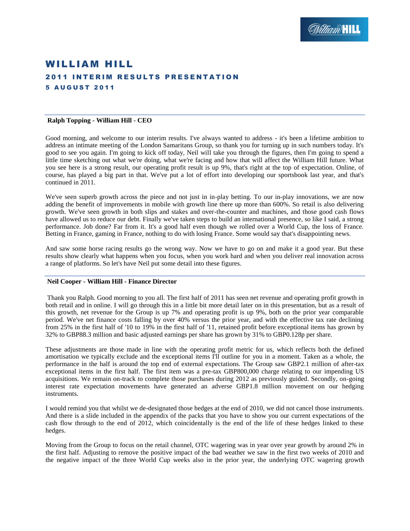# WILLIAM HILL **2011 INTERIM RESULTS PRESENTATION** 5 A U G U S T 2 0 1 1

### **Ralph Topping - William Hill - CEO**

Good morning, and welcome to our interim results. I've always wanted to address - it's been a lifetime ambition to address an intimate meeting of the London Samaritans Group, so thank you for turning up in such numbers today. It's good to see you again. I'm going to kick off today, Neil will take you through the figures, then I'm going to spend a little time sketching out what we're doing, what we're facing and how that will affect the William Hill future. What you see here is a strong result, our operating profit result is up 9%, that's right at the top of expectation. Online, of course, has played a big part in that. We've put a lot of effort into developing our sportsbook last year, and that's continued in 2011.

We've seen superb growth across the piece and not just in in-play betting. To our in-play innovations, we are now adding the benefit of improvements in mobile with growth line there up more than 600%. So retail is also delivering growth. We've seen growth in both slips and stakes and over-the-counter and machines, and those good cash flows have allowed us to reduce our debt. Finally we've taken steps to build an international presence, so like I said, a strong performance. Job done? Far from it. It's a good half even though we rolled over a World Cup, the loss of France. Betting in France, gaming in France, nothing to do with losing France. Some would say that's disappointing news.

And saw some horse racing results go the wrong way. Now we have to go on and make it a good year. But these results show clearly what happens when you focus, when you work hard and when you deliver real innovation across a range of platforms. So let's have Neil put some detail into these figures.

### **Neil Cooper - William Hill - Finance Director**

Thank you Ralph. Good morning to you all. The first half of 2011 has seen net revenue and operating profit growth in both retail and in online. I will go through this in a little bit more detail later on in this presentation, but as a result of this growth, net revenue for the Group is up 7% and operating profit is up 9%, both on the prior year comparable period. We've net finance costs falling by over 40% versus the prior year, and with the effective tax rate declining from 25% in the first half of '10 to 19% in the first half of '11, retained profit before exceptional items has grown by 32% to GBP88.3 million and basic adjusted earnings per share has grown by 31% to GBP0.128p per share.

These adjustments are those made in line with the operating profit metric for us, which reflects both the defined amortisation we typically exclude and the exceptional items I'll outline for you in a moment. Taken as a whole, the performance in the half is around the top end of external expectations. The Group saw GBP2.1 million of after-tax exceptional items in the first half. The first item was a pre-tax GBP800,000 charge relating to our impending US acquisitions. We remain on-track to complete those purchases during 2012 as previously guided. Secondly, on-going interest rate expectation movements have generated an adverse GBP1.8 million movement on our hedging instruments.

I would remind you that whilst we de-designated those hedges at the end of 2010, we did not cancel those instruments. And there is a slide included in the appendix of the packs that you have to show you our current expectations of the cash flow through to the end of 2012, which coincidentally is the end of the life of these hedges linked to these hedges.

Moving from the Group to focus on the retail channel, OTC wagering was in year over year growth by around 2% in the first half. Adjusting to remove the positive impact of the bad weather we saw in the first two weeks of 2010 and the negative impact of the three World Cup weeks also in the prior year, the underlying OTC wagering growth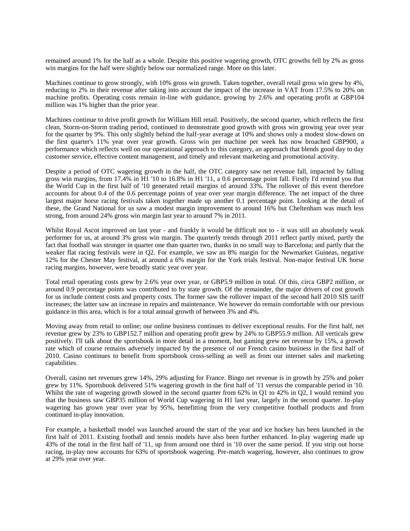remained around 1% for the half as a whole. Despite this positive wagering growth, OTC growths fell by 2% as gross win margins for the half were slightly below our normalized range. More on this later.

Machines continue to grow strongly, with 10% gross win growth. Taken together, overall retail gross win grew by 4%, reducing to 2% in their revenue after taking into account the impact of the increase in VAT from 17.5% to 20% on machine profits. Operating costs remain in-line with guidance, growing by 2.6% and operating profit at GBP104 million was 1% higher than the prior year.

Machines continue to drive profit growth for William Hill retail. Positively, the second quarter, which reflects the first clean, Storm-on-Storm trading period, continued to demonstrate good growth with gross win growing year over year for the quarter by 9%. This only slightly behind the half-year average at 10% and shows only a modest slow-down on the first quarter's 11% year over year growth. Gross win per machine per week has now broached GBP900, a performance which reflects well on our operational approach to this category, an approach that blends good day to day customer service, effective content management, and timely and relevant marketing and promotional activity.

Despite a period of OTC wagering growth in the half, the OTC category saw net revenue fall, impacted by falling gross win margins, from 17.4% in H1 '10 to 16.8% in H1 '11, a 0.6 percentage point fall. Firstly I'd remind you that the World Cup in the first half of '10 generated retail margins of around 33%. The rollover of this event therefore accounts for about 0.4 of the 0.6 percentage points of year over year margin difference. The net impact of the three largest major horse racing festivals taken together made up another 0.1 percentage point. Looking at the detail of these, the Grand National for us saw a modest margin improvement to around 16% but Cheltenham was much less strong, from around 24% gross win margin last year to around 7% in 2011.

Whilst Royal Ascot improved on last year - and frankly it would be difficult not to - it was still an absolutely weak performer for us, at around 3% gross win margin. The quarterly trends through 2011 reflect partly mixed, partly the fact that football was stronger in quarter one than quarter two, thanks in no small way to Barcelona; and partly that the weaker flat racing festivals were in Q2. For example, we saw an 8% margin for the Newmarket Guineas, negative 12% for the Chester May festival, at around a 6% margin for the York trials festival. Non-major festival UK horse racing margins, however, were broadly static year over year.

Total retail operating costs grew by 2.6% year over year, or GBP5.9 million in total. Of this, circa GBP2 million, or around 0.9 percentage points was contributed to by state growth. Of the remainder, the major drivers of cost growth for us include content costs and property costs. The former saw the rollover impact of the second half 2010 SIS tariff increases; the latter saw an increase in repairs and maintenance. We however do remain comfortable with our previous guidance in this area, which is for a total annual growth of between 3% and 4%.

Moving away from retail to online; our online business continues to deliver exceptional results. For the first half, net revenue grew by 23% to GBP152.7 million and operating profit grew by 24% to GBP55.9 million. All verticals grew positively. I'll talk about the sportsbook in more detail in a moment, but gaming grew net revenue by 15%, a growth rate which of course remains adversely impacted by the presence of our French casino business in the first half of 2010. Casino continues to benefit from sportsbook cross-selling as well as from our internet sales and marketing capabilities.

Overall, casino net revenues grew 14%, 29% adjusting for France. Bingo net revenue is in growth by 25% and poker grew by 11%. Sportsbook delivered 51% wagering growth in the first half of '11 versus the comparable period in '10. Whilst the rate of wagering growth slowed in the second quarter from 62% in Q1 to 42% in Q2, I would remind you that the business saw GBP35 million of World Cup wagering in H1 last year, largely in the second quarter. In-play wagering has grown year over year by 95%, benefitting from the very competitive football products and from continued in-play innovation.

For example, a basketball model was launched around the start of the year and ice hockey has been launched in the first half of 2011. Existing football and tennis models have also been further enhanced. In-play wagering made up 43% of the total in the first half of '11, up from around one third in '10 over the same period. If you strip out horse racing, in-play now accounts for 63% of sportsbook wagering. Pre-match wagering, however, also continues to grow at 29% year over year.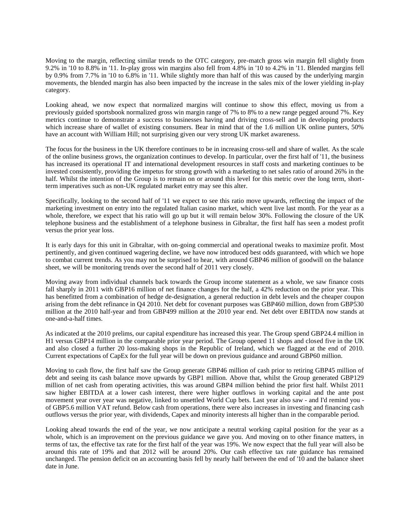Moving to the margin, reflecting similar trends to the OTC category, pre-match gross win margin fell slightly from 9.2% in '10 to 8.8% in '11. In-play gross win margins also fell from 4.8% in '10 to 4.2% in '11. Blended margins fell by 0.9% from 7.7% in '10 to 6.8% in '11. While slightly more than half of this was caused by the underlying margin movements, the blended margin has also been impacted by the increase in the sales mix of the lower yielding in-play category.

Looking ahead, we now expect that normalized margins will continue to show this effect, moving us from a previously guided sportsbook normalized gross win margin range of 7% to 8% to a new range pegged around 7%. Key metrics continue to demonstrate a success to businesses having and driving cross-sell and in developing products which increase share of wallet of existing consumers. Bear in mind that of the 1.6 million UK online punters, 50% have an account with William Hill; not surprising given our very strong UK market awareness.

The focus for the business in the UK therefore continues to be in increasing cross-sell and share of wallet. As the scale of the online business grows, the organization continues to develop. In particular, over the first half of '11, the business has increased its operational IT and international development resources in staff costs and marketing continues to be invested consistently, providing the impetus for strong growth with a marketing to net sales ratio of around 26% in the half. Whilst the intention of the Group is to remain on or around this level for this metric over the long term, shortterm imperatives such as non-UK regulated market entry may see this alter.

Specifically, looking to the second half of '11 we expect to see this ratio move upwards, reflecting the impact of the marketing investment on entry into the regulated Italian casino market, which went live last month. For the year as a whole, therefore, we expect that his ratio will go up but it will remain below 30%. Following the closure of the UK telephone business and the establishment of a telephone business in Gibraltar, the first half has seen a modest profit versus the prior year loss.

It is early days for this unit in Gibraltar, with on-going commercial and operational tweaks to maximize profit. Most pertinently, and given continued wagering decline, we have now introduced best odds guaranteed, with which we hope to combat current trends. As you may not be surprised to hear, with around GBP46 million of goodwill on the balance sheet, we will be monitoring trends over the second half of 2011 very closely.

Moving away from individual channels back towards the Group income statement as a whole, we saw finance costs fall sharply in 2011 with GBP16 million of net finance changes for the half, a 42% reduction on the prior year. This has benefitted from a combination of hedge de-designation, a general reduction in debt levels and the cheaper coupon arising from the debt refinance in Q4 2010. Net debt for covenant purposes was GBP460 million, down from GBP530 million at the 2010 half-year and from GBP499 million at the 2010 year end. Net debt over EBITDA now stands at one-and-a-half times.

As indicated at the 2010 prelims, our capital expenditure has increased this year. The Group spend GBP24.4 million in H1 versus GBP14 million in the comparable prior year period. The Group opened 11 shops and closed five in the UK and also closed a further 20 loss-making shops in the Republic of Ireland, which we flagged at the end of 2010. Current expectations of CapEx for the full year will be down on previous guidance and around GBP60 million.

Moving to cash flow, the first half saw the Group generate GBP46 million of cash prior to retiring GBP45 million of debt and seeing its cash balance move upwards by GBP1 million. Above that, whilst the Group generated GBP129 million of net cash from operating activities, this was around GBP4 million behind the prior first half. Whilst 2011 saw higher EBITDA at a lower cash interest, there were higher outflows in working capital and the ante post movement year over year was negative, linked to unsettled World Cup bets. Last year also saw - and I'd remind you of GBP5.6 million VAT refund. Below cash from operations, there were also increases in investing and financing cash outflows versus the prior year, with dividends, Capex and minority interests all higher than in the comparable period.

Looking ahead towards the end of the year, we now anticipate a neutral working capital position for the year as a whole, which is an improvement on the previous guidance we gave you. And moving on to other finance matters, in terms of tax, the effective tax rate for the first half of the year was 19%. We now expect that the full year will also be around this rate of 19% and that 2012 will be around 20%. Our cash effective tax rate guidance has remained unchanged. The pension deficit on an accounting basis fell by nearly half between the end of '10 and the balance sheet date in June.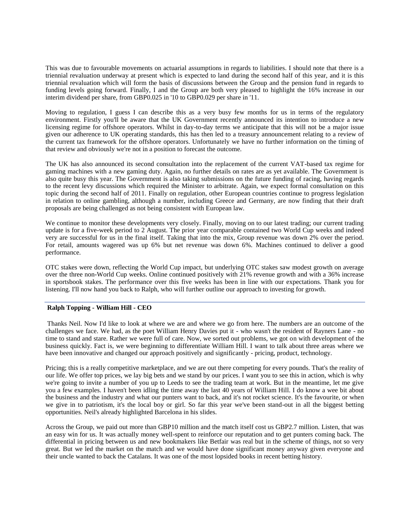This was due to favourable movements on actuarial assumptions in regards to liabilities. I should note that there is a triennial revaluation underway at present which is expected to land during the second half of this year, and it is this triennial revaluation which will form the basis of discussions between the Group and the pension fund in regards to funding levels going forward. Finally, I and the Group are both very pleased to highlight the 16% increase in our interim dividend per share, from GBP0.025 in '10 to GBP0.029 per share in '11.

Moving to regulation, I guess I can describe this as a very busy few months for us in terms of the regulatory environment. Firstly you'll be aware that the UK Government recently announced its intention to introduce a new licensing regime for offshore operators. Whilst in day-to-day terms we anticipate that this will not be a major issue given our adherence to UK operating standards, this has then led to a treasury announcement relating to a review of the current tax framework for the offshore operators. Unfortunately we have no further information on the timing of that review and obviously we're not in a position to forecast the outcome.

The UK has also announced its second consultation into the replacement of the current VAT-based tax regime for gaming machines with a new gaming duty. Again, no further details on rates are as yet available. The Government is also quite busy this year. The Government is also taking submissions on the future funding of racing, having regards to the recent levy discussions which required the Minister to arbitrate. Again, we expect formal consultation on this topic during the second half of 2011. Finally on regulation, other European countries continue to progress legislation in relation to online gambling, although a number, including Greece and Germany, are now finding that their draft proposals are being challenged as not being consistent with European law.

We continue to monitor these developments very closely. Finally, moving on to our latest trading; our current trading update is for a five-week period to 2 August. The prior year comparable contained two World Cup weeks and indeed very are successful for us in the final itself. Taking that into the mix, Group revenue was down 2% over the period. For retail, amounts wagered was up 6% but net revenue was down 6%. Machines continued to deliver a good performance.

OTC stakes were down, reflecting the World Cup impact, but underlying OTC stakes saw modest growth on average over the three non-World Cup weeks. Online continued positively with 21% revenue growth and with a 36% increase in sportsbook stakes. The performance over this five weeks has been in line with our expectations. Thank you for listening. I'll now hand you back to Ralph, who will further outline our approach to investing for growth.

### **Ralph Topping - William Hill - CEO**

Thanks Neil. Now I'd like to look at where we are and where we go from here. The numbers are an outcome of the challenges we face. We had, as the poet William Henry Davies put it - who wasn't the resident of Rayners Lane - no time to stand and stare. Rather we were full of care. Now, we sorted out problems, we got on with development of the business quickly. Fact is, we were beginning to differentiate William Hill. I want to talk about three areas where we have been innovative and changed our approach positively and significantly - pricing, product, technology.

Pricing; this is a really competitive marketplace, and we are out there competing for every pounds. That's the reality of our life. We offer top prices, we lay big bets and we stand by our prices. I want you to see this in action, which is why we're going to invite a number of you up to Leeds to see the trading team at work. But in the meantime, let me give you a few examples. I haven't been idling the time away the last 40 years of William Hill. I do know a wee bit about the business and the industry and what our punters want to back, and it's not rocket science. It's the favourite, or when we give in to patriotism, it's the local boy or girl. So far this year we've been stand-out in all the biggest betting opportunities. Neil's already highlighted Barcelona in his slides.

Across the Group, we paid out more than GBP10 million and the match itself cost us GBP2.7 million. Listen, that was an easy win for us. It was actually money well-spent to reinforce our reputation and to get punters coming back. The differential in pricing between us and new bookmakers like Betfair was real but in the scheme of things, not so very great. But we led the market on the match and we would have done significant money anyway given everyone and their uncle wanted to back the Catalans. It was one of the most lopsided books in recent betting history.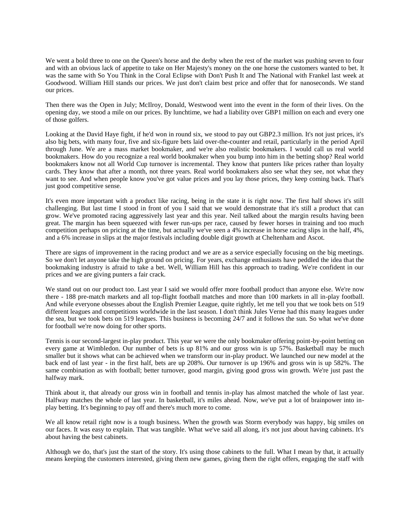We went a bold three to one on the Queen's horse and the derby when the rest of the market was pushing seven to four and with an obvious lack of appetite to take on Her Majesty's money on the one horse the customers wanted to bet. It was the same with So You Think in the Coral Eclipse with Don't Push It and The National with Frankel last week at Goodwood. William Hill stands our prices. We just don't claim best price and offer that for nanoseconds. We stand our prices.

Then there was the Open in July; McIlroy, Donald, Westwood went into the event in the form of their lives. On the opening day, we stood a mile on our prices. By lunchtime, we had a liability over GBP1 million on each and every one of those golfers.

Looking at the David Haye fight, if he'd won in round six, we stood to pay out GBP2.3 million. It's not just prices, it's also big bets, with many four, five and six-figure bets laid over-the-counter and retail, particularly in the period April through June. We are a mass market bookmaker, and we're also realistic bookmakers. I would call us real world bookmakers. How do you recognize a real world bookmaker when you bump into him in the betting shop? Real world bookmakers know not all World Cup turnover is incremental. They know that punters like prices rather than loyalty cards. They know that after a month, not three years. Real world bookmakers also see what they see, not what they want to see. And when people know you've got value prices and you lay those prices, they keep coming back. That's just good competitive sense.

It's even more important with a product like racing, being in the state it is right now. The first half shows it's still challenging. But last time I stood in front of you I said that we would demonstrate that it's still a product that can grow. We've promoted racing aggressively last year and this year. Neil talked about the margin results having been great. The margin has been squeezed with fewer run-ups per race, caused by fewer horses in training and too much competition perhaps on pricing at the time, but actually we've seen a 4% increase in horse racing slips in the half, 4%, and a 6% increase in slips at the major festivals including double digit growth at Cheltenham and Ascot.

There are signs of improvement in the racing product and we are as a service especially focusing on the big meetings. So we don't let anyone take the high ground on pricing. For years, exchange enthusiasts have peddled the idea that the bookmaking industry is afraid to take a bet. Well, William Hill has this approach to trading. We're confident in our prices and we are giving punters a fair crack.

We stand out on our product too. Last year I said we would offer more football product than anyone else. We're now there - 188 pre-match markets and all top-flight football matches and more than 100 markets in all in-play football. And while everyone obsesses about the English Premier League, quite rightly, let me tell you that we took bets on 519 different leagues and competitions worldwide in the last season. I don't think Jules Verne had this many leagues under the sea, but we took bets on 519 leagues. This business is becoming 24/7 and it follows the sun. So what we've done for football we're now doing for other sports.

Tennis is our second-largest in-play product. This year we were the only bookmaker offering point-by-point betting on every game at Wimbledon. Our number of bets is up 81% and our gross win is up 57%. Basketball may be much smaller but it shows what can be achieved when we transform our in-play product. We launched our new model at the back end of last year - in the first half, bets are up 208%. Our turnover is up 196% and gross win is up 582%. The same combination as with football; better turnover, good margin, giving good gross win growth. We're just past the halfway mark.

Think about it, that already our gross win in football and tennis in-play has almost matched the whole of last year. Halfway matches the whole of last year. In basketball, it's miles ahead. Now, we've put a lot of brainpower into inplay betting. It's beginning to pay off and there's much more to come.

We all know retail right now is a tough business. When the growth was Storm everybody was happy, big smiles on our faces. It was easy to explain. That was tangible. What we've said all along, it's not just about having cabinets. It's about having the best cabinets.

Although we do, that's just the start of the story. It's using those cabinets to the full. What I mean by that, it actually means keeping the customers interested, giving them new games, giving them the right offers, engaging the staff with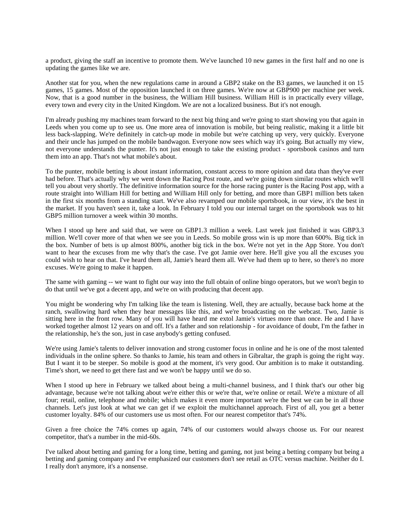a product, giving the staff an incentive to promote them. We've launched 10 new games in the first half and no one is updating the games like we are.

Another stat for you, when the new regulations came in around a GBP2 stake on the B3 games, we launched it on 15 games, 15 games. Most of the opposition launched it on three games. We're now at GBP900 per machine per week. Now, that is a good number in the business, the William Hill business. William Hill is in practically every village, every town and every city in the United Kingdom. We are not a localized business. But it's not enough.

I'm already pushing my machines team forward to the next big thing and we're going to start showing you that again in Leeds when you come up to see us. One more area of innovation is mobile, but being realistic, making it a little bit less back-slapping. We're definitely in catch-up mode in mobile but we're catching up very, very quickly. Everyone and their uncle has jumped on the mobile bandwagon. Everyone now sees which way it's going. But actually my view, not everyone understands the punter. It's not just enough to take the existing product - sportsbook casinos and turn them into an app. That's not what mobile's about.

To the punter, mobile betting is about instant information, constant access to more opinion and data than they've ever had before. That's actually why we went down the Racing Post route, and we're going down similar routes which we'll tell you about very shortly. The definitive information source for the horse racing punter is the Racing Post app, with a route straight into William Hill for betting and William Hill only for betting, and more than GBP1 million bets taken in the first six months from a standing start. We've also revamped our mobile sportsbook, in our view, it's the best in the market. If you haven't seen it, take a look. In February I told you our internal target on the sportsbook was to hit GBP5 million turnover a week within 30 months.

When I stood up here and said that, we were on GBP1.3 million a week. Last week just finished it was GBP3.3 million. We'll cover more of that when we see you in Leeds. So mobile gross win is up more than 600%. Big tick in the box. Number of bets is up almost 800%, another big tick in the box. We're not yet in the App Store. You don't want to hear the excuses from me why that's the case. I've got Jamie over here. He'll give you all the excuses you could wish to hear on that. I've heard them all, Jamie's heard them all. We've had them up to here, so there's no more excuses. We're going to make it happen.

The same with gaming -- we want to fight our way into the full obtain of online bingo operators, but we won't begin to do that until we've got a decent app, and we're on with producing that decent app.

You might be wondering why I'm talking like the team is listening. Well, they are actually, because back home at the ranch, swallowing hard when they hear messages like this, and we're broadcasting on the webcast. Two, Jamie is sitting here in the front row. Many of you will have heard me extol Jamie's virtues more than once. He and I have worked together almost 12 years on and off. It's a father and son relationship - for avoidance of doubt, I'm the father in the relationship, he's the son, just in case anybody's getting confused.

We're using Jamie's talents to deliver innovation and strong customer focus in online and he is one of the most talented individuals in the online sphere. So thanks to Jamie, his team and others in Gibraltar, the graph is going the right way. But I want it to be steeper. So mobile is good at the moment, it's very good. Our ambition is to make it outstanding. Time's short, we need to get there fast and we won't be happy until we do so.

When I stood up here in February we talked about being a multi-channel business, and I think that's our other big advantage, because we're not talking about we're either this or we're that, we're online or retail. We're a mixture of all four; retail, online, telephone and mobile; which makes it even more important we're the best we can be in all those channels. Let's just look at what we can get if we exploit the multichannel approach. First of all, you get a better customer loyalty. 84% of our customers use us most often. For our nearest competitor that's 74%.

Given a free choice the 74% comes up again, 74% of our customers would always choose us. For our nearest competitor, that's a number in the mid-60s.

I've talked about betting and gaming for a long time, betting and gaming, not just being a betting company but being a betting and gaming company and I've emphasized our customers don't see retail as OTC versus machine. Neither do I. I really don't anymore, it's a nonsense.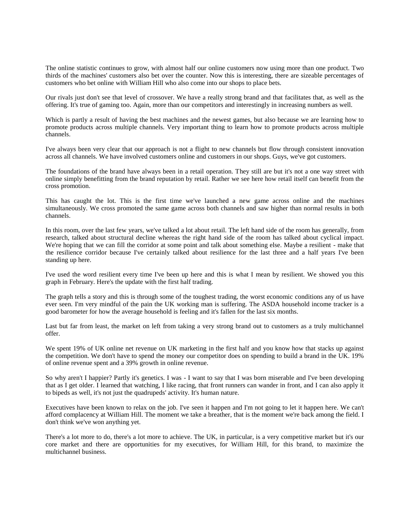The online statistic continues to grow, with almost half our online customers now using more than one product. Two thirds of the machines' customers also bet over the counter. Now this is interesting, there are sizeable percentages of customers who bet online with William Hill who also come into our shops to place bets.

Our rivals just don't see that level of crossover. We have a really strong brand and that facilitates that, as well as the offering. It's true of gaming too. Again, more than our competitors and interestingly in increasing numbers as well.

Which is partly a result of having the best machines and the newest games, but also because we are learning how to promote products across multiple channels. Very important thing to learn how to promote products across multiple channels.

I've always been very clear that our approach is not a flight to new channels but flow through consistent innovation across all channels. We have involved customers online and customers in our shops. Guys, we've got customers.

The foundations of the brand have always been in a retail operation. They still are but it's not a one way street with online simply benefitting from the brand reputation by retail. Rather we see here how retail itself can benefit from the cross promotion.

This has caught the lot. This is the first time we've launched a new game across online and the machines simultaneously. We cross promoted the same game across both channels and saw higher than normal results in both channels.

In this room, over the last few years, we've talked a lot about retail. The left hand side of the room has generally, from research, talked about structural decline whereas the right hand side of the room has talked about cyclical impact. We're hoping that we can fill the corridor at some point and talk about something else. Maybe a resilient - make that the resilience corridor because I've certainly talked about resilience for the last three and a half years I've been standing up here.

I've used the word resilient every time I've been up here and this is what I mean by resilient. We showed you this graph in February. Here's the update with the first half trading.

The graph tells a story and this is through some of the toughest trading, the worst economic conditions any of us have ever seen. I'm very mindful of the pain the UK working man is suffering. The ASDA household income tracker is a good barometer for how the average household is feeling and it's fallen for the last six months.

Last but far from least, the market on left from taking a very strong brand out to customers as a truly multichannel offer.

We spent 19% of UK online net revenue on UK marketing in the first half and you know how that stacks up against the competition. We don't have to spend the money our competitor does on spending to build a brand in the UK. 19% of online revenue spent and a 39% growth in online revenue.

So why aren't I happier? Partly it's genetics. I was - I want to say that I was born miserable and I've been developing that as I get older. I learned that watching, I like racing, that front runners can wander in front, and I can also apply it to bipeds as well, it's not just the quadrupeds' activity. It's human nature.

Executives have been known to relax on the job. I've seen it happen and I'm not going to let it happen here. We can't afford complacency at William Hill. The moment we take a breather, that is the moment we're back among the field. I don't think we've won anything yet.

There's a lot more to do, there's a lot more to achieve. The UK, in particular, is a very competitive market but it's our core market and there are opportunities for my executives, for William Hill, for this brand, to maximize the multichannel business.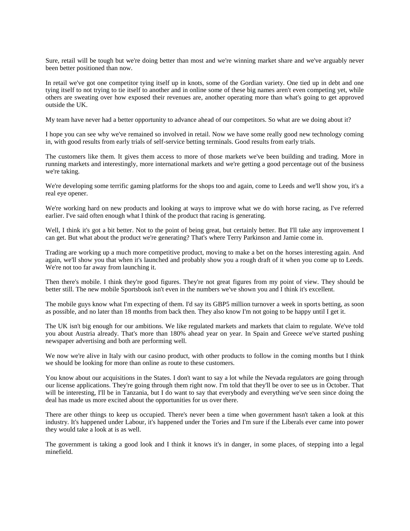Sure, retail will be tough but we're doing better than most and we're winning market share and we've arguably never been better positioned than now.

In retail we've got one competitor tying itself up in knots, some of the Gordian variety. One tied up in debt and one tying itself to not trying to tie itself to another and in online some of these big names aren't even competing yet, while others are sweating over how exposed their revenues are, another operating more than what's going to get approved outside the UK.

My team have never had a better opportunity to advance ahead of our competitors. So what are we doing about it?

I hope you can see why we've remained so involved in retail. Now we have some really good new technology coming in, with good results from early trials of self-service betting terminals. Good results from early trials.

The customers like them. It gives them access to more of those markets we've been building and trading. More in running markets and interestingly, more international markets and we're getting a good percentage out of the business we're taking.

We're developing some terrific gaming platforms for the shops too and again, come to Leeds and we'll show you, it's a real eye opener.

We're working hard on new products and looking at ways to improve what we do with horse racing, as I've referred earlier. I've said often enough what I think of the product that racing is generating.

Well, I think it's got a bit better. Not to the point of being great, but certainly better. But I'll take any improvement I can get. But what about the product we're generating? That's where Terry Parkinson and Jamie come in.

Trading are working up a much more competitive product, moving to make a bet on the horses interesting again. And again, we'll show you that when it's launched and probably show you a rough draft of it when you come up to Leeds. We're not too far away from launching it.

Then there's mobile. I think they're good figures. They're not great figures from my point of view. They should be better still. The new mobile Sportsbook isn't even in the numbers we've shown you and I think it's excellent.

The mobile guys know what I'm expecting of them. I'd say its GBP5 million turnover a week in sports betting, as soon as possible, and no later than 18 months from back then. They also know I'm not going to be happy until I get it.

The UK isn't big enough for our ambitions. We like regulated markets and markets that claim to regulate. We've told you about Austria already. That's more than 180% ahead year on year. In Spain and Greece we've started pushing newspaper advertising and both are performing well.

We now we're alive in Italy with our casino product, with other products to follow in the coming months but I think we should be looking for more than online as route to these customers.

You know about our acquisitions in the States. I don't want to say a lot while the Nevada regulators are going through our license applications. They're going through them right now. I'm told that they'll be over to see us in October. That will be interesting, I'll be in Tanzania, but I do want to say that everybody and everything we've seen since doing the deal has made us more excited about the opportunities for us over there.

There are other things to keep us occupied. There's never been a time when government hasn't taken a look at this industry. It's happened under Labour, it's happened under the Tories and I'm sure if the Liberals ever came into power they would take a look at is as well.

The government is taking a good look and I think it knows it's in danger, in some places, of stepping into a legal minefield.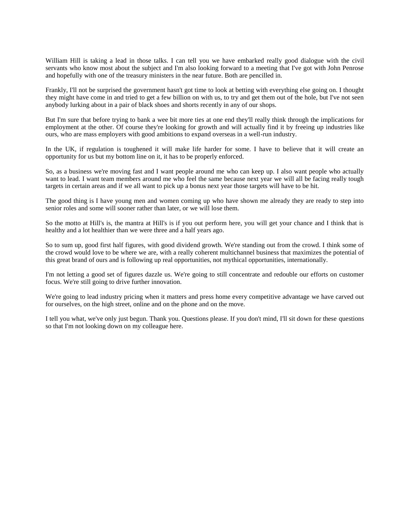William Hill is taking a lead in those talks. I can tell you we have embarked really good dialogue with the civil servants who know most about the subject and I'm also looking forward to a meeting that I've got with John Penrose and hopefully with one of the treasury ministers in the near future. Both are pencilled in.

Frankly, I'll not be surprised the government hasn't got time to look at betting with everything else going on. I thought they might have come in and tried to get a few billion on with us, to try and get them out of the hole, but I've not seen anybody lurking about in a pair of black shoes and shorts recently in any of our shops.

But I'm sure that before trying to bank a wee bit more ties at one end they'll really think through the implications for employment at the other. Of course they're looking for growth and will actually find it by freeing up industries like ours, who are mass employers with good ambitions to expand overseas in a well-run industry.

In the UK, if regulation is toughened it will make life harder for some. I have to believe that it will create an opportunity for us but my bottom line on it, it has to be properly enforced.

So, as a business we're moving fast and I want people around me who can keep up. I also want people who actually want to lead. I want team members around me who feel the same because next year we will all be facing really tough targets in certain areas and if we all want to pick up a bonus next year those targets will have to be hit.

The good thing is I have young men and women coming up who have shown me already they are ready to step into senior roles and some will sooner rather than later, or we will lose them.

So the motto at Hill's is, the mantra at Hill's is if you out perform here, you will get your chance and I think that is healthy and a lot healthier than we were three and a half years ago.

So to sum up, good first half figures, with good dividend growth. We're standing out from the crowd. I think some of the crowd would love to be where we are, with a really coherent multichannel business that maximizes the potential of this great brand of ours and is following up real opportunities, not mythical opportunities, internationally.

I'm not letting a good set of figures dazzle us. We're going to still concentrate and redouble our efforts on customer focus. We're still going to drive further innovation.

We're going to lead industry pricing when it matters and press home every competitive advantage we have carved out for ourselves, on the high street, online and on the phone and on the move.

I tell you what, we've only just begun. Thank you. Questions please. If you don't mind, I'll sit down for these questions so that I'm not looking down on my colleague here.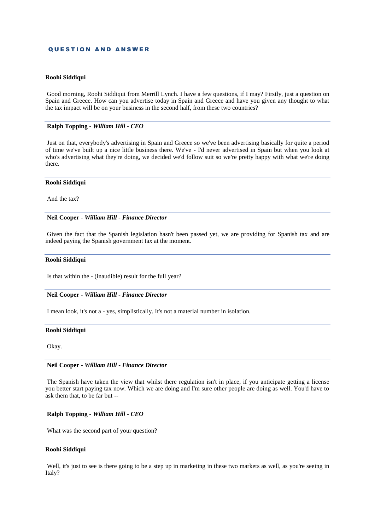### **QUESTION AND ANSWER**

#### **Roohi Siddiqui**

Good morning, Roohi Siddiqui from Merrill Lynch. I have a few questions, if I may? Firstly, just a question on Spain and Greece. How can you advertise today in Spain and Greece and have you given any thought to what the tax impact will be on your business in the second half, from these two countries?

### **Ralph Topping** *- William Hill - CEO*

Just on that, everybody's advertising in Spain and Greece so we've been advertising basically for quite a period of time we've built up a nice little business there. We've - I'd never advertised in Spain but when you look at who's advertising what they're doing, we decided we'd follow suit so we're pretty happy with what we're doing there.

### **Roohi Siddiqui**

And the tax?

### **Neil Cooper** *- William Hill - Finance Director*

Given the fact that the Spanish legislation hasn't been passed yet, we are providing for Spanish tax and are indeed paying the Spanish government tax at the moment.

#### **Roohi Siddiqui**

Is that within the - (inaudible) result for the full year?

### **Neil Cooper** *- William Hill - Finance Director*

I mean look, it's not a - yes, simplistically. It's not a material number in isolation.

### **Roohi Siddiqui**

Okay.

### **Neil Cooper** *- William Hill - Finance Director*

The Spanish have taken the view that whilst there regulation isn't in place, if you anticipate getting a license you better start paying tax now. Which we are doing and I'm sure other people are doing as well. You'd have to ask them that, to be far but --

#### **Ralph Topping** *- William Hill - CEO*

What was the second part of your question?

#### **Roohi Siddiqui**

Well, it's just to see is there going to be a step up in marketing in these two markets as well, as you're seeing in Italy?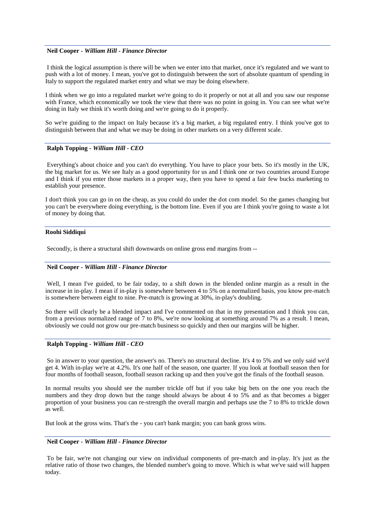### **Neil Cooper** *- William Hill - Finance Director*

I think the logical assumption is there will be when we enter into that market, once it's regulated and we want to push with a lot of money. I mean, you've got to distinguish between the sort of absolute quantum of spending in Italy to support the regulated market entry and what we may be doing elsewhere.

I think when we go into a regulated market we're going to do it properly or not at all and you saw our response with France, which economically we took the view that there was no point in going in. You can see what we're doing in Italy we think it's worth doing and we're going to do it properly.

So we're guiding to the impact on Italy because it's a big market, a big regulated entry. I think you've got to distinguish between that and what we may be doing in other markets on a very different scale.

# **Ralph Topping** *- William Hill - CEO*

Everything's about choice and you can't do everything. You have to place your bets. So it's mostly in the UK, the big market for us. We see Italy as a good opportunity for us and I think one or two countries around Europe and I think if you enter those markets in a proper way, then you have to spend a fair few bucks marketing to establish your presence.

I don't think you can go in on the cheap, as you could do under the dot com model. So the games changing but you can't be everywhere doing everything, is the bottom line. Even if you are I think you're going to waste a lot of money by doing that.

### **Roohi Siddiqui**

Secondly, is there a structural shift downwards on online gross end margins from --

# **Neil Cooper** *- William Hill - Finance Director*

Well, I mean I've guided, to be fair today, to a shift down in the blended online margin as a result in the increase in in-play. I mean if in-play is somewhere between 4 to 5% on a normalized basis, you know pre-match is somewhere between eight to nine. Pre-match is growing at 30%, in-play's doubling.

So there will clearly be a blended impact and I've commented on that in my presentation and I think you can, from a previous normalized range of 7 to 8%, we're now looking at something around 7% as a result. I mean, obviously we could not grow our pre-match business so quickly and then our margins will be higher.

# **Ralph Topping** *- William Hill - CEO*

So in answer to your question, the answer's no. There's no structural decline. It's 4 to 5% and we only said we'd get 4. With in-play we're at 4.2%. It's one half of the season, one quarter. If you look at football season then for four months of football season, football season racking up and then you've got the finals of the football season.

In normal results you should see the number trickle off but if you take big bets on the one you reach the numbers and they drop down but the range should always be about 4 to 5% and as that becomes a bigger proportion of your business you can re-strength the overall margin and perhaps use the 7 to 8% to trickle down as well.

But look at the gross wins. That's the - you can't bank margin; you can bank gross wins.

# **Neil Cooper** *- William Hill - Finance Director*

To be fair, we're not changing our view on individual components of pre-match and in-play. It's just as the relative ratio of those two changes, the blended number's going to move. Which is what we've said will happen today.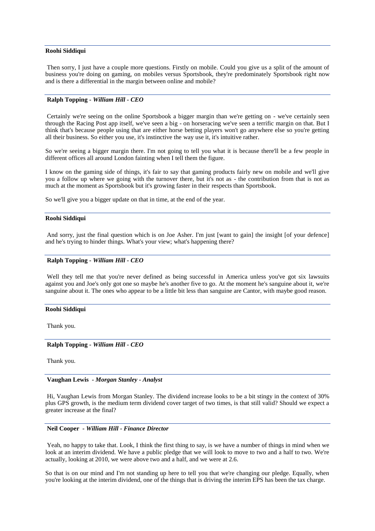#### **Roohi Siddiqui**

Then sorry, I just have a couple more questions. Firstly on mobile. Could you give us a split of the amount of business you're doing on gaming, on mobiles versus Sportsbook, they're predominately Sportsbook right now and is there a differential in the margin between online and mobile?

### **Ralph Topping** *- William Hill - CEO*

Certainly we're seeing on the online Sportsbook a bigger margin than we're getting on - we've certainly seen through the Racing Post app itself, we've seen a big - on horseracing we've seen a terrific margin on that. But I think that's because people using that are either horse betting players won't go anywhere else so you're getting all their business. So either you use, it's instinctive the way use it, it's intuitive rather.

So we're seeing a bigger margin there. I'm not going to tell you what it is because there'll be a few people in different offices all around London fainting when I tell them the figure.

I know on the gaming side of things, it's fair to say that gaming products fairly new on mobile and we'll give you a follow up where we going with the turnover there, but it's not as - the contribution from that is not as much at the moment as Sportsbook but it's growing faster in their respects than Sportsbook.

So we'll give you a bigger update on that in time, at the end of the year.

### **Roohi Siddiqui**

And sorry, just the final question which is on Joe Asher. I'm just [want to gain] the insight [of your defence] and he's trying to hinder things. What's your view; what's happening there?

### **Ralph Topping** *- William Hill - CEO*

Well they tell me that you're never defined as being successful in America unless you've got six lawsuits against you and Joe's only got one so maybe he's another five to go. At the moment he's sanguine about it, we're sanguine about it. The ones who appear to be a little bit less than sanguine are Cantor, with maybe good reason.

#### **Roohi Siddiqui**

Thank you.

**Ralph Topping** *- William Hill - CEO* 

Thank you.

### **Vaughan Lewis** *- Morgan Stanley - Analyst*

Hi, Vaughan Lewis from Morgan Stanley. The dividend increase looks to be a bit stingy in the context of 30% plus GPS growth, is the medium term dividend cover target of two times, is that still valid? Should we expect a greater increase at the final?

### **Neil Cooper** *- William Hill - Finance Director*

Yeah, no happy to take that. Look, I think the first thing to say, is we have a number of things in mind when we look at an interim dividend. We have a public pledge that we will look to move to two and a half to two. We're actually, looking at 2010, we were above two and a half, and we were at 2.6.

So that is on our mind and I'm not standing up here to tell you that we're changing our pledge. Equally, when you're looking at the interim dividend, one of the things that is driving the interim EPS has been the tax charge.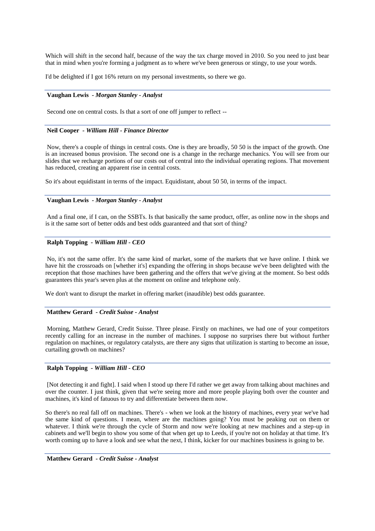Which will shift in the second half, because of the way the tax charge moved in 2010. So you need to just bear that in mind when you're forming a judgment as to where we've been generous or stingy, to use your words.

I'd be delighted if I got 16% return on my personal investments, so there we go.

# **Vaughan Lewis** *- Morgan Stanley - Analyst*

Second one on central costs. Is that a sort of one off jumper to reflect --

### **Neil Cooper** *- William Hill - Finance Director*

Now, there's a couple of things in central costs. One is they are broadly, 50 50 is the impact of the growth. One is an increased bonus provision. The second one is a change in the recharge mechanics. You will see from our slides that we recharge portions of our costs out of central into the individual operating regions. That movement has reduced, creating an apparent rise in central costs.

So it's about equidistant in terms of the impact. Equidistant, about 50 50, in terms of the impact.

### **Vaughan Lewis** *- Morgan Stanley - Analyst*

And a final one, if I can, on the SSBTs. Is that basically the same product, offer, as online now in the shops and is it the same sort of better odds and best odds guaranteed and that sort of thing?

# **Ralph Topping** *- William Hill - CEO*

No, it's not the same offer. It's the same kind of market, some of the markets that we have online. I think we have hit the crossroads on [whether it's] expanding the offering in shops because we've been delighted with the reception that those machines have been gathering and the offers that we've giving at the moment. So best odds guarantees this year's seven plus at the moment on online and telephone only.

We don't want to disrupt the market in offering market (inaudible) best odds guarantee.

### **Matthew Gerard** *- Credit Suisse - Analyst*

Morning, Matthew Gerard, Credit Suisse. Three please. Firstly on machines, we had one of your competitors recently calling for an increase in the number of machines. I suppose no surprises there but without further regulation on machines, or regulatory catalysts, are there any signs that utilization is starting to become an issue, curtailing growth on machines?

# **Ralph Topping** *- William Hill - CEO*

[Not detecting it and fight]. I said when I stood up there I'd rather we get away from talking about machines and over the counter. I just think, given that we're seeing more and more people playing both over the counter and machines, it's kind of fatuous to try and differentiate between them now.

So there's no real fall off on machines. There's - when we look at the history of machines, every year we've had the same kind of questions. I mean, where are the machines going? You must be peaking out on them or whatever. I think we're through the cycle of Storm and now we're looking at new machines and a step-up in cabinets and we'll begin to show you some of that when get up to Leeds, if you're not on holiday at that time. It's worth coming up to have a look and see what the next, I think, kicker for our machines business is going to be.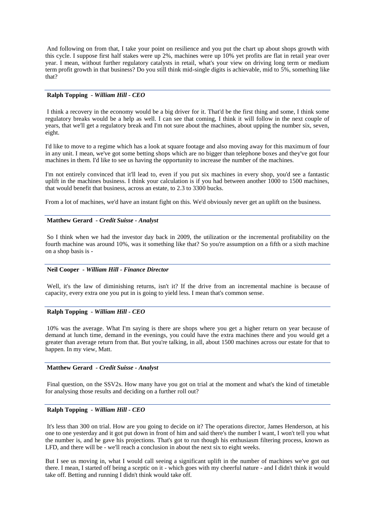And following on from that, I take your point on resilience and you put the chart up about shops growth with this cycle. I suppose first half stakes were up 2%, machines were up 10% yet profits are flat in retail year over year. I mean, without further regulatory catalysts in retail, what's your view on driving long term or medium term profit growth in that business? Do you still think mid-single digits is achievable, mid to 5%, something like that?

# **Ralph Topping** *- William Hill - CEO*

I think a recovery in the economy would be a big driver for it. That'd be the first thing and some, I think some regulatory breaks would be a help as well. I can see that coming, I think it will follow in the next couple of years, that we'll get a regulatory break and I'm not sure about the machines, about upping the number six, seven, eight.

I'd like to move to a regime which has a look at square footage and also moving away for this maximum of four in any unit. I mean, we've got some betting shops which are no bigger than telephone boxes and they've got four machines in them. I'd like to see us having the opportunity to increase the number of the machines.

I'm not entirely convinced that it'll lead to, even if you put six machines in every shop, you'd see a fantastic uplift in the machines business. I think your calculation is if you had between another 1000 to 1500 machines, that would benefit that business, across an estate, to 2.3 to 3300 bucks.

From a lot of machines, we'd have an instant fight on this. We'd obviously never get an uplift on the business.

#### **Matthew Gerard** *- Credit Suisse - Analyst*

So I think when we had the investor day back in 2009, the utilization or the incremental profitability on the fourth machine was around 10%, was it something like that? So you're assumption on a fifth or a sixth machine on a shop basis is -

### **Neil Cooper** *- William Hill - Finance Director*

Well, it's the law of diminishing returns, isn't it? If the drive from an incremental machine is because of capacity, every extra one you put in is going to yield less. I mean that's common sense.

### **Ralph Topping** *- William Hill - CEO*

10% was the average. What I'm saying is there are shops where you get a higher return on year because of demand at lunch time, demand in the evenings, you could have the extra machines there and you would get a greater than average return from that. But you're talking, in all, about 1500 machines across our estate for that to happen. In my view, Matt.

### **Matthew Gerard** *- Credit Suisse - Analyst*

Final question, on the SSV2s. How many have you got on trial at the moment and what's the kind of timetable for analysing those results and deciding on a further roll out?

### **Ralph Topping** *- William Hill - CEO*

It's less than 300 on trial. How are you going to decide on it? The operations director, James Henderson, at his one to one yesterday and it got put down in front of him and said there's the number I want, I won't tell you what the number is, and he gave his projections. That's got to run though his enthusiasm filtering process, known as LFD, and there will be - we'll reach a conclusion in about the next six to eight weeks.

But I see us moving in, what I would call seeing a significant uplift in the number of machines we've got out there. I mean, I started off being a sceptic on it - which goes with my cheerful nature - and I didn't think it would take off. Betting and running I didn't think would take off.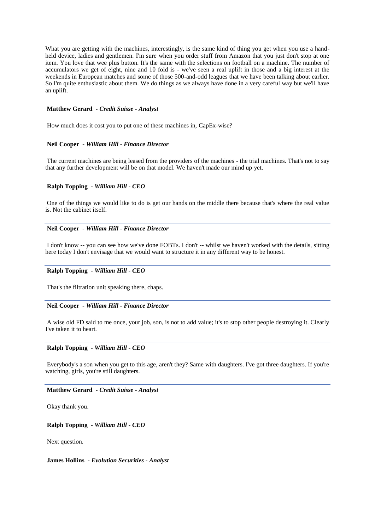What you are getting with the machines, interestingly, is the same kind of thing you get when you use a handheld device, ladies and gentlemen. I'm sure when you order stuff from Amazon that you just don't stop at one item. You love that wee plus button. It's the same with the selections on football on a machine. The number of accumulators we get of eight, nine and 10 fold is - we've seen a real uplift in those and a big interest at the weekends in European matches and some of those 500-and-odd leagues that we have been talking about earlier. So I'm quite enthusiastic about them. We do things as we always have done in a very careful way but we'll have an uplift.

### **Matthew Gerard** *- Credit Suisse - Analyst*

How much does it cost you to put one of these machines in, CapEx-wise?

### **Neil Cooper** *- William Hill - Finance Director*

The current machines are being leased from the providers of the machines - the trial machines. That's not to say that any further development will be on that model. We haven't made our mind up yet.

# **Ralph Topping** *- William Hill - CEO*

One of the things we would like to do is get our hands on the middle there because that's where the real value is. Not the cabinet itself.

# **Neil Cooper** *- William Hill - Finance Director*

I don't know -- you can see how we've done FOBTs. I don't -- whilst we haven't worked with the details, sitting here today I don't envisage that we would want to structure it in any different way to be honest.

### **Ralph Topping** *- William Hill - CEO*

That's the filtration unit speaking there, chaps.

#### **Neil Cooper** *- William Hill - Finance Director*

A wise old FD said to me once, your job, son, is not to add value; it's to stop other people destroying it. Clearly I've taken it to heart.

### **Ralph Topping** *- William Hill - CEO*

Everybody's a son when you get to this age, aren't they? Same with daughters. I've got three daughters. If you're watching, girls, you're still daughters.

# **Matthew Gerard** *- Credit Suisse - Analyst*

Okay thank you.

**Ralph Topping** *- William Hill - CEO* 

Next question.

**James Hollins** *- Evolution Securities - Analyst*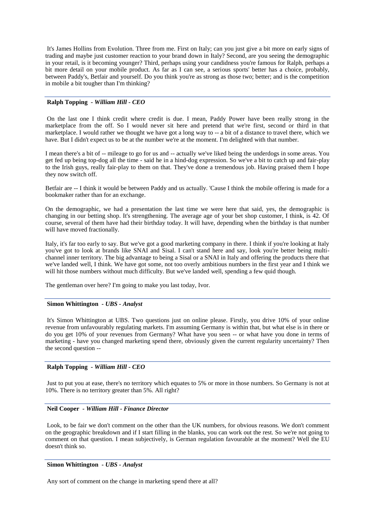It's James Hollins from Evolution. Three from me. First on Italy; can you just give a bit more on early signs of trading and maybe just customer reaction to your brand down in Italy? Second, are you seeing the demographic in your retail, is it becoming younger? Third, perhaps using your candidness you're famous for Ralph, perhaps a bit more detail on your mobile product. As far as I can see, a serious sports' better has a choice, probably, between Paddy's, Betfair and yourself. Do you think you're as strong as those two; better; and is the competition in mobile a bit tougher than I'm thinking?

# **Ralph Topping** *- William Hill - CEO*

On the last one I think credit where credit is due. I mean, Paddy Power have been really strong in the marketplace from the off. So I would never sit here and pretend that we're first, second or third in that marketplace. I would rather we thought we have got a long way to -- a bit of a distance to travel there, which we have. But I didn't expect us to be at the number we're at the moment. I'm delighted with that number.

I mean there's a bit of -- mileage to go for us and -- actually we've liked being the underdogs in some areas. You get fed up being top-dog all the time - said he in a hind-dog expression. So we've a bit to catch up and fair-play to the Irish guys, really fair-play to them on that. They've done a tremendous job. Having praised them I hope they now switch off.

Betfair are -- I think it would be between Paddy and us actually. 'Cause I think the mobile offering is made for a bookmaker rather than for an exchange.

On the demographic, we had a presentation the last time we were here that said, yes, the demographic is changing in our betting shop. It's strengthening. The average age of your bet shop customer, I think, is 42. Of course, several of them have had their birthday today. It will have, depending when the birthday is that number will have moved fractionally.

Italy, it's far too early to say. But we've got a good marketing company in there. I think if you're looking at Italy you've got to look at brands like SNAI and Sisal. I can't stand here and say, look you're better being multichannel inner territory. The big advantage to being a Sisal or a SNAI in Italy and offering the products there that we've landed well, I think. We have got some, not too overly ambitious numbers in the first year and I think we will hit those numbers without much difficulty. But we've landed well, spending a few quid though.

The gentleman over here? I'm going to make you last today, Ivor.

# **Simon Whittington** *- UBS - Analyst*

It's Simon Whittington at UBS. Two questions just on online please. Firstly, you drive 10% of your online revenue from unfavourably regulating markets. I'm assuming Germany is within that, but what else is in there or do you get 10% of your revenues from Germany? What have you seen -- or what have you done in terms of marketing - have you changed marketing spend there, obviously given the current regularity uncertainty? Then the second question --

### **Ralph Topping** *- William Hill - CEO*

Just to put you at ease, there's no territory which equates to 5% or more in those numbers. So Germany is not at 10%. There is no territory greater than 5%. All right?

### **Neil Cooper** *- William Hill - Finance Director*

Look, to be fair we don't comment on the other than the UK numbers, for obvious reasons. We don't comment on the geographic breakdown and if I start filling in the blanks, you can work out the rest. So we're not going to comment on that question. I mean subjectively, is German regulation favourable at the moment? Well the EU doesn't think so.

### **Simon Whittington** *- UBS - Analyst*

Any sort of comment on the change in marketing spend there at all?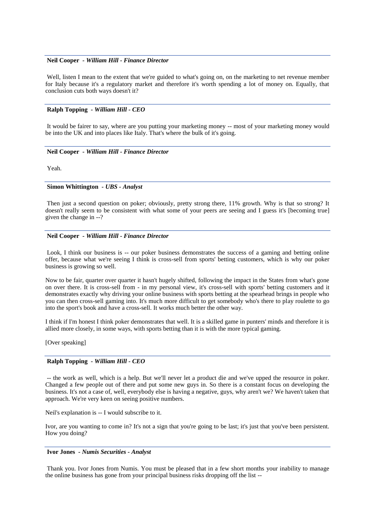# **Neil Cooper** *- William Hill - Finance Director*

Well, listen I mean to the extent that we're guided to what's going on, on the marketing to net revenue member for Italy because it's a regulatory market and therefore it's worth spending a lot of money on. Equally, that conclusion cuts both ways doesn't it?

# **Ralph Topping** *- William Hill - CEO*

It would be fairer to say, where are you putting your marketing money -- most of your marketing money would be into the UK and into places like Italy. That's where the bulk of it's going.

### **Neil Cooper** *- William Hill - Finance Director*

Yeah.

# **Simon Whittington** *- UBS - Analyst*

Then just a second question on poker; obviously, pretty strong there, 11% growth. Why is that so strong? It doesn't really seem to be consistent with what some of your peers are seeing and I guess it's [becoming true] given the change in --?

# **Neil Cooper** *- William Hill - Finance Director*

Look, I think our business is -- our poker business demonstrates the success of a gaming and betting online offer, because what we're seeing I think is cross-sell from sports' betting customers, which is why our poker business is growing so well.

Now to be fair, quarter over quarter it hasn't hugely shifted, following the impact in the States from what's gone on over there. It is cross-sell from - in my personal view, it's cross-sell with sports' betting customers and it demonstrates exactly why driving your online business with sports betting at the spearhead brings in people who you can then cross-sell gaming into. It's much more difficult to get somebody who's there to play roulette to go into the sport's book and have a cross-sell. It works much better the other way.

I think if I'm honest I think poker demonstrates that well. It is a skilled game in punters' minds and therefore it is allied more closely, in some ways, with sports betting than it is with the more typical gaming.

[Over speaking]

### **Ralph Topping** *- William Hill - CEO*

-- the work as well, which is a help. But we'll never let a product die and we've upped the resource in poker. Changed a few people out of there and put some new guys in. So there is a constant focus on developing the business. It's not a case of, well, everybody else is having a negative, guys, why aren't we? We haven't taken that approach. We're very keen on seeing positive numbers.

Neil's explanation is -- I would subscribe to it.

Ivor, are you wanting to come in? It's not a sign that you're going to be last; it's just that you've been persistent. How you doing?

# **Ivor Jones** *- Numis Securities - Analyst*

Thank you. Ivor Jones from Numis. You must be pleased that in a few short months your inability to manage the online business has gone from your principal business risks dropping off the list --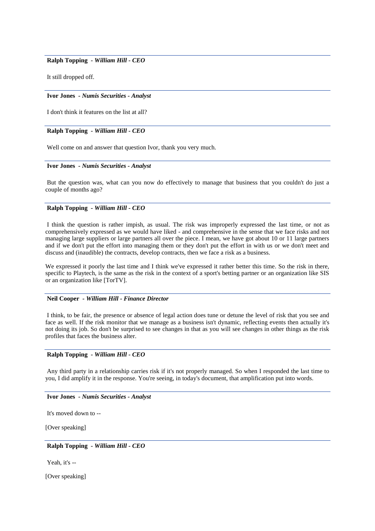# **Ralph Topping** *- William Hill - CEO*

It still dropped off.

### **Ivor Jones** *- Numis Securities - Analyst*

I don't think it features on the list at all?

## **Ralph Topping** *- William Hill - CEO*

Well come on and answer that question Ivor, thank you very much.

#### **Ivor Jones** *- Numis Securities - Analyst*

But the question was, what can you now do effectively to manage that business that you couldn't do just a couple of months ago?

### **Ralph Topping** *- William Hill - CEO*

I think the question is rather impish, as usual. The risk was improperly expressed the last time, or not as comprehensively expressed as we would have liked - and comprehensive in the sense that we face risks and not managing large suppliers or large partners all over the piece. I mean, we have got about 10 or 11 large partners and if we don't put the effort into managing them or they don't put the effort in with us or we don't meet and discuss and (inaudible) the contracts, develop contracts, then we face a risk as a business.

We expressed it poorly the last time and I think we've expressed it rather better this time. So the risk in there, specific to Playtech, is the same as the risk in the context of a sport's betting partner or an organization like SIS or an organization like [TorTV].

#### **Neil Cooper** *- William Hill - Finance Director*

I think, to be fair, the presence or absence of legal action does tune or detune the level of risk that you see and face as well. If the risk monitor that we manage as a business isn't dynamic, reflecting events then actually it's not doing its job. So don't be surprised to see changes in that as you will see changes in other things as the risk profiles that faces the business alter.

# **Ralph Topping** *- William Hill - CEO*

Any third party in a relationship carries risk if it's not properly managed. So when I responded the last time to you, I did amplify it in the response. You're seeing, in today's document, that amplification put into words.

### **Ivor Jones** *- Numis Securities - Analyst*

It's moved down to --

[Over speaking]

# **Ralph Topping** *- William Hill - CEO*

Yeah, it's --

[Over speaking]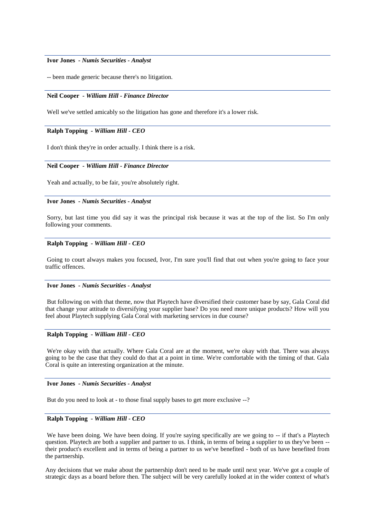### **Ivor Jones** *- Numis Securities - Analyst*

-- been made generic because there's no litigation.

# **Neil Cooper** *- William Hill - Finance Director*

Well we've settled amicably so the litigation has gone and therefore it's a lower risk.

## **Ralph Topping** *- William Hill - CEO*

I don't think they're in order actually. I think there is a risk.

#### **Neil Cooper** *- William Hill - Finance Director*

Yeah and actually, to be fair, you're absolutely right.

#### **Ivor Jones** *- Numis Securities - Analyst*

Sorry, but last time you did say it was the principal risk because it was at the top of the list. So I'm only following your comments.

# **Ralph Topping** *- William Hill - CEO*

Going to court always makes you focused, Ivor, I'm sure you'll find that out when you're going to face your traffic offences.

### **Ivor Jones** *- Numis Securities - Analyst*

But following on with that theme, now that Playtech have diversified their customer base by say, Gala Coral did that change your attitude to diversifying your supplier base? Do you need more unique products? How will you feel about Playtech supplying Gala Coral with marketing services in due course?

# **Ralph Topping** *- William Hill - CEO*

We're okay with that actually. Where Gala Coral are at the moment, we're okay with that. There was always going to be the case that they could do that at a point in time. We're comfortable with the timing of that. Gala Coral is quite an interesting organization at the minute.

# **Ivor Jones** *- Numis Securities - Analyst*

But do you need to look at - to those final supply bases to get more exclusive --?

# **Ralph Topping** *- William Hill - CEO*

We have been doing. We have been doing. If you're saying specifically are we going to -- if that's a Playtech question. Playtech are both a supplier and partner to us. I think, in terms of being a supplier to us they've been - their product's excellent and in terms of being a partner to us we've benefited - both of us have benefited from the partnership.

Any decisions that we make about the partnership don't need to be made until next year. We've got a couple of strategic days as a board before then. The subject will be very carefully looked at in the wider context of what's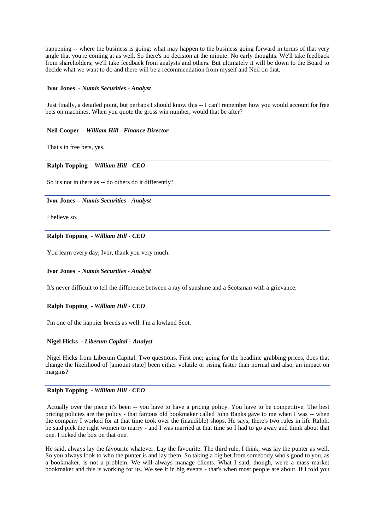happening -- where the business is going; what may happen to the business going forward in terms of that very angle that you're coming at as well. So there's no decision at the minute. No early thoughts. We'll take feedback from shareholders; we'll take feedback from analysts and others. But ultimately it will be down to the Board to decide what we want to do and there will be a recommendation from myself and Neil on that.

### **Ivor Jones** *- Numis Securities - Analyst*

Just finally, a detailed point, but perhaps I should know this -- I can't remember how you would account for free bets on machines. When you quote the gross win number, would that be after?

# **Neil Cooper** *- William Hill - Finance Director*

That's in free bets, yes.

### **Ralph Topping** *- William Hill - CEO*

So it's not in there as -- do others do it differently?

#### **Ivor Jones** *- Numis Securities - Analyst*

I believe so.

#### **Ralph Topping** *- William Hill - CEO*

You learn every day, Ivor, thank you very much.

#### **Ivor Jones** *- Numis Securities - Analyst*

It's never difficult to tell the difference between a ray of sunshine and a Scotsman with a grievance.

### **Ralph Topping** *- William Hill - CEO*

I'm one of the happier breeds as well. I'm a lowland Scot.

## **Nigel Hicks** *- Liberum Capital - Analyst*

Nigel Hicks from Liberum Capital. Two questions. First one; going for the headline grabbing prices, does that change the likelihood of [amount state] been either volatile or rising faster than normal and also, an impact on margins?

# **Ralph Topping** *- William Hill - CEO*

Actually over the piece it's been -- you have to have a pricing policy. You have to be competitive. The best pricing policies are the policy - that famous old bookmaker called John Banks gave to me when I was -- when the company I worked for at that time took over the (inaudible) shops. He says, there's two rules in life Ralph, he said pick the right women to marry - and I was married at that time so I had to go away and think about that one. I ticked the box on that one.

He said, always lay the favourite whatever. Lay the favourite. The third rule, I think, was lay the punter as well. So you always look to who the punter is and lay them. So taking a big bet from somebody who's good to you, as a bookmaker, is not a problem. We will always manage clients. What I said, though, we're a mass market bookmaker and this is working for us. We see it in big events - that's when most people are about. If I told you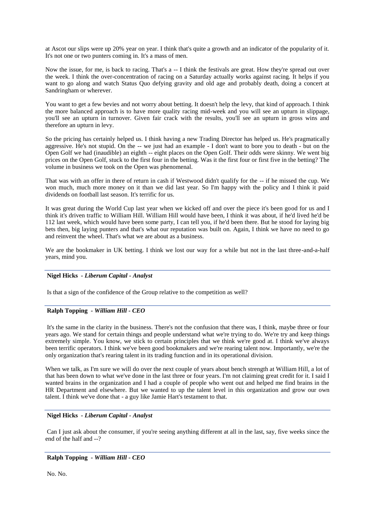at Ascot our slips were up 20% year on year. I think that's quite a growth and an indicator of the popularity of it. It's not one or two punters coming in. It's a mass of men.

Now the issue, for me, is back to racing. That's a -- I think the festivals are great. How they're spread out over the week. I think the over-concentration of racing on a Saturday actually works against racing. It helps if you want to go along and watch Status Quo defying gravity and old age and probably death, doing a concert at Sandringham or wherever.

You want to get a few bevies and not worry about betting. It doesn't help the levy, that kind of approach. I think the more balanced approach is to have more quality racing mid-week and you will see an upturn in slippage, you'll see an upturn in turnover. Given fair crack with the results, you'll see an upturn in gross wins and therefore an upturn in levy.

So the pricing has certainly helped us. I think having a new Trading Director has helped us. He's pragmatically aggressive. He's not stupid. On the -- we just had an example - I don't want to bore you to death - but on the Open Golf we had (inaudible) an eighth -- eight places on the Open Golf. Their odds were skinny. We went big prices on the Open Golf, stuck to the first four in the betting. Was it the first four or first five in the betting? The volume in business we took on the Open was phenomenal.

That was with an offer in there of return in cash if Westwood didn't qualify for the -- if he missed the cup. We won much, much more money on it than we did last year. So I'm happy with the policy and I think it paid dividends on football last season. It's terrific for us.

It was great during the World Cup last year when we kicked off and over the piece it's been good for us and I think it's driven traffic to William Hill. William Hill would have been, I think it was about, if he'd lived he'd be 112 last week, which would have been some party, I can tell you, if he'd been there. But he stood for laying big bets then, big laying punters and that's what our reputation was built on. Again, I think we have no need to go and reinvent the wheel. That's what we are about as a business.

We are the bookmaker in UK betting. I think we lost our way for a while but not in the last three-and-a-half years, mind you.

### **Nigel Hicks** *- Liberum Capital - Analyst*

Is that a sign of the confidence of the Group relative to the competition as well?

### **Ralph Topping** *- William Hill - CEO*

It's the same in the clarity in the business. There's not the confusion that there was, I think, maybe three or four years ago. We stand for certain things and people understand what we're trying to do. We're try and keep things extremely simple. You know, we stick to certain principles that we think we're good at. I think we've always been terrific operators. I think we've been good bookmakers and we're rearing talent now. Importantly, we're the only organization that's rearing talent in its trading function and in its operational division.

When we talk, as I'm sure we will do over the next couple of years about bench strength at William Hill, a lot of that has been down to what we've done in the last three or four years. I'm not claiming great credit for it. I said I wanted brains in the organization and I had a couple of people who went out and helped me find brains in the HR Department and elsewhere. But we wanted to up the talent level in this organization and grow our own talent. I think we've done that - a guy like Jamie Hart's testament to that.

# **Nigel Hicks** *- Liberum Capital - Analyst*

Can I just ask about the consumer, if you're seeing anything different at all in the last, say, five weeks since the end of the half and --?

# **Ralph Topping** *- William Hill - CEO*

No. No.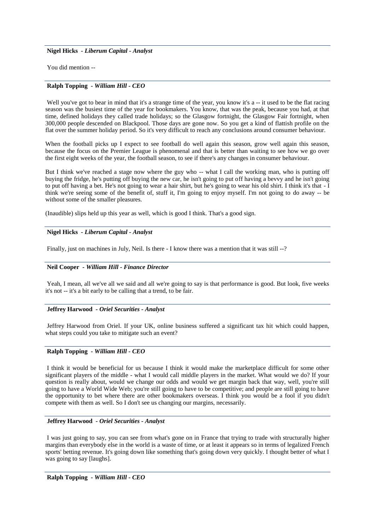**Nigel Hicks** *- Liberum Capital - Analyst* 

You did mention --

### **Ralph Topping** *- William Hill - CEO*

Well you've got to bear in mind that it's a strange time of the year, you know it's a -- it used to be the flat racing season was the busiest time of the year for bookmakers. You know, that was the peak, because you had, at that time, defined holidays they called trade holidays; so the Glasgow fortnight, the Glasgow Fair fortnight, when 300,000 people descended on Blackpool. Those days are gone now. So you get a kind of flattish profile on the flat over the summer holiday period. So it's very difficult to reach any conclusions around consumer behaviour.

When the football picks up I expect to see football do well again this season, grow well again this season, because the focus on the Premier League is phenomenal and that is better than waiting to see how we go over the first eight weeks of the year, the football season, to see if there's any changes in consumer behaviour.

But I think we've reached a stage now where the guy who -- what I call the working man, who is putting off buying the fridge, he's putting off buying the new car, he isn't going to put off having a bevvy and he isn't going to put off having a bet. He's not going to wear a hair shirt, but he's going to wear his old shirt. I think it's that - I think we're seeing some of the benefit of, stuff it, I'm going to enjoy myself. I'm not going to do away -- be without some of the smaller pleasures.

(Inaudible) slips held up this year as well, which is good I think. That's a good sign.

# **Nigel Hicks** *- Liberum Capital - Analyst*

Finally, just on machines in July, Neil. Is there - I know there was a mention that it was still --?

# **Neil Cooper** *- William Hill - Finance Director*

Yeah, I mean, all we've all we said and all we're going to say is that performance is good. But look, five weeks it's not -- it's a bit early to be calling that a trend, to be fair.

### **Jeffrey Harwood** *- Oriel Securities - Analyst*

Jeffrey Harwood from Oriel. If your UK, online business suffered a significant tax hit which could happen, what steps could you take to mitigate such an event?

### **Ralph Topping** *- William Hill - CEO*

I think it would be beneficial for us because I think it would make the marketplace difficult for some other significant players of the middle - what I would call middle players in the market. What would we do? If your question is really about, would we change our odds and would we get margin back that way, well, you're still going to have a World Wide Web; you're still going to have to be competitive; and people are still going to have the opportunity to bet where there are other bookmakers overseas. I think you would be a fool if you didn't compete with them as well. So I don't see us changing our margins, necessarily.

### **Jeffrey Harwood** *- Oriel Securities - Analyst*

I was just going to say, you can see from what's gone on in France that trying to trade with structurally higher margins than everybody else in the world is a waste of time, or at least it appears so in terms of legalized French sports' betting revenue. It's going down like something that's going down very quickly. I thought better of what I was going to say [laughs].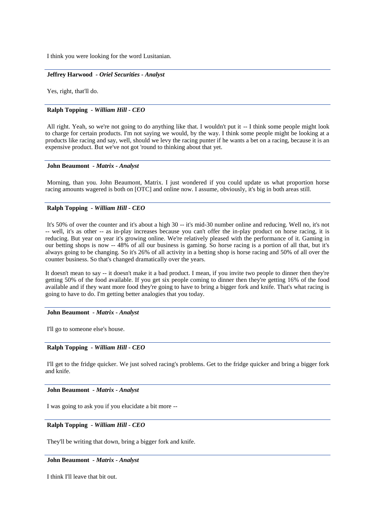I think you were looking for the word Lusitanian.

### **Jeffrey Harwood** *- Oriel Securities - Analyst*

Yes, right, that'll do.

### **Ralph Topping** *- William Hill - CEO*

All right. Yeah, so we're not going to do anything like that. I wouldn't put it -- I think some people might look to charge for certain products. I'm not saying we would, by the way. I think some people might be looking at a products like racing and say, well, should we levy the racing punter if he wants a bet on a racing, because it is an expensive product. But we've not got 'round to thinking about that yet.

### **John Beaumont** *- Matrix - Analyst*

Morning, than you. John Beaumont, Matrix. I just wondered if you could update us what proportion horse racing amounts wagered is both on [OTC] and online now. I assume, obviously, it's big in both areas still.

# **Ralph Topping** *- William Hill - CEO*

It's 50% of over the counter and it's about a high 30 -- it's mid-30 number online and reducing. Well no, it's not -- well, it's as other -- as in-play increases because you can't offer the in-play product on horse racing, it is reducing. But year on year it's growing online. We're relatively pleased with the performance of it. Gaming in our betting shops is now -- 48% of all our business is gaming. So horse racing is a portion of all that, but it's always going to be changing. So it's 26% of all activity in a betting shop is horse racing and 50% of all over the counter business. So that's changed dramatically over the years.

It doesn't mean to say -- it doesn't make it a bad product. I mean, if you invite two people to dinner then they're getting 50% of the food available. If you get six people coming to dinner then they're getting 16% of the food available and if they want more food they're going to have to bring a bigger fork and knife. That's what racing is going to have to do. I'm getting better analogies that you today.

### **John Beaumont** *- Matrix - Analyst*

I'll go to someone else's house.

### **Ralph Topping** *- William Hill - CEO*

I'll get to the fridge quicker. We just solved racing's problems. Get to the fridge quicker and bring a bigger fork and knife.

# **John Beaumont** *- Matrix - Analyst*

I was going to ask you if you elucidate a bit more --

**Ralph Topping** *- William Hill - CEO* 

They'll be writing that down, bring a bigger fork and knife.

**John Beaumont** *- Matrix - Analyst* 

I think I'll leave that bit out.